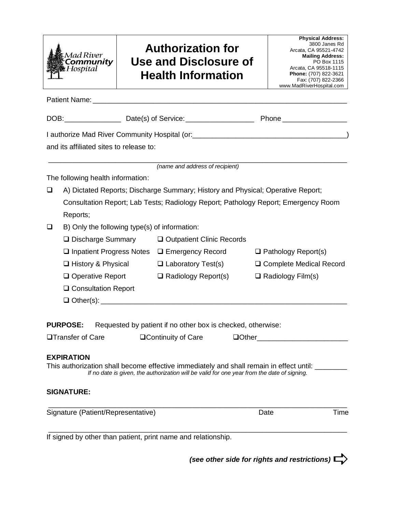| <b>Mad River</b><br>Community<br>LHospital |
|--------------------------------------------|
|                                            |

# **Authorization for Use and Disclosure of Health Information**

| <b>Physical Address:</b> |
|--------------------------|
| 3800 Janes Rd            |
| Arcata, CA 95521-4742    |
| <b>Mailing Address:</b>  |
| PO Box 1115              |
| Arcata, CA 95518-1115    |
| Phone: (707) 822-3621    |
| Fax: (707) 822-2366      |
| www.MadRiverHospital.com |

Patient Name: DOB:\_\_\_\_\_\_\_\_\_\_\_\_\_\_ Date(s) of Service:\_\_\_\_\_\_\_\_\_\_\_\_\_\_\_\_\_ Phone \_\_\_\_\_\_\_\_\_\_\_\_\_\_\_\_ I authorize Mad River Community Hospital (or:\_\_\_\_\_\_\_\_\_\_\_\_\_\_\_\_\_\_\_\_\_\_\_\_\_\_\_\_\_\_\_\_\_\_\_\_\_\_\_) and its affiliated sites to release to: \_\_\_\_\_\_\_\_\_\_\_\_\_\_\_\_\_\_\_\_\_\_\_\_\_\_\_\_\_\_\_\_\_\_\_\_\_\_\_\_\_\_\_\_\_\_\_\_\_\_\_\_\_\_\_\_\_\_\_\_\_\_\_\_\_\_\_\_\_\_\_\_\_\_ *(name and address of recipient)* The following health information: A) Dictated Reports; Discharge Summary; History and Physical; Operative Report; Consultation Report; Lab Tests; Radiology Report; Pathology Report; Emergency Room Reports;  $\Box$  B) Only the following type(s) of information:  $\Box$  Discharge Summary  $\Box$  Outpatient Clinic Records  $\Box$  Inpatient Progress Notes  $\Box$  Emergency Record  $\Box$  Pathology Report(s) History & Physical Laboratory Test(s) Complete Medical Record  $\Box$  Operative Report  $\Box$  Radiology Report(s)  $\Box$  Radiology Film(s) □ Consultation Report  $\Box$  Other(s): **PURPOSE:** Requested by patient if no other box is checked, otherwise: **□Transfer of Care CONTEX CONTEXERY OF CARE CONTEX CONTEXERY OF CARECTE CONTEXERY EXPIRATION** This authorization shall become effective immediately and shall remain in effect until: \_\_\_\_\_\_\_ *If no date is given, the authorization will be valid for one year from the date of signing.* **SIGNATURE:** \_\_\_\_\_\_\_\_\_\_\_\_\_\_\_\_\_\_\_\_\_\_\_\_\_\_\_\_\_\_\_\_\_\_\_\_\_\_\_\_\_\_\_\_\_\_\_\_\_\_\_\_\_\_\_\_\_\_\_\_\_\_\_\_\_\_\_\_\_\_\_\_\_\_ Signature (Patient/Representative) and the Control of Date Control of Time

\_\_\_\_\_\_\_\_\_\_\_\_\_\_\_\_\_\_\_\_\_\_\_\_\_\_\_\_\_\_\_\_\_\_\_\_\_\_\_\_\_\_\_\_\_\_\_\_\_\_\_\_\_\_\_\_\_\_\_\_\_\_\_\_\_\_\_\_\_\_\_\_\_\_

If signed by other than patient, print name and relationship.

*(see other side for rights and restrictions)*